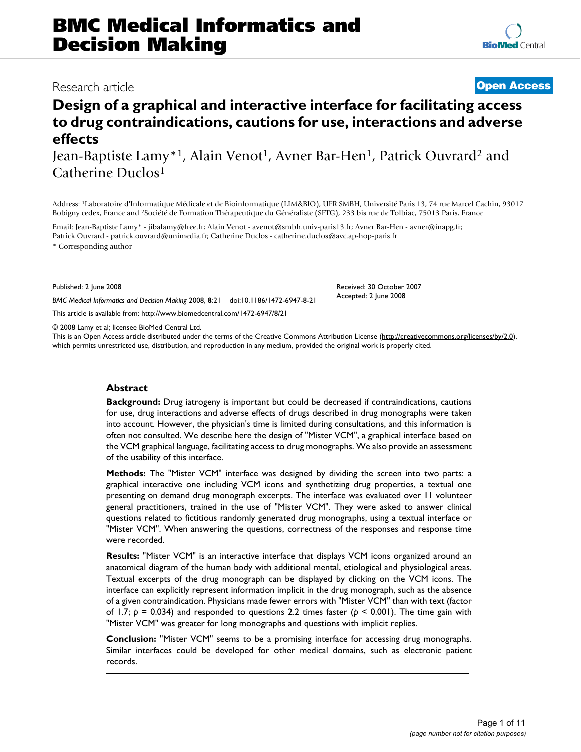## Research article **[Open Access](http://www.biomedcentral.com/info/about/charter/)**

# **Design of a graphical and interactive interface for facilitating access to drug contraindications, cautions for use, interactions and adverse effects**

Jean-Baptiste Lamy<sup>\*1</sup>, Alain Venot<sup>1</sup>, Avner Bar-Hen<sup>1</sup>, Patrick Ouvrard<sup>2</sup> and Catherine Duclos1

Address: 1Laboratoire d'Informatique Médicale et de Bioinformatique (LIM&BIO), UFR SMBH, Université Paris 13, 74 rue Marcel Cachin, 93017 Bobigny cedex, France and 2Société de Formation Thérapeutique du Généraliste (SFTG), 233 bis rue de Tolbiac, 75013 Paris, France

Email: Jean-Baptiste Lamy\* - jibalamy@free.fr; Alain Venot - avenot@smbh.univ-paris13.fr; Avner Bar-Hen - avner@inapg.fr; Patrick Ouvrard - patrick.ouvrard@unimedia.fr; Catherine Duclos - catherine.duclos@avc.ap-hop-paris.fr \* Corresponding author

Published: 2 June 2008

*BMC Medical Informatics and Decision Making* 2008, **8**:21 doi:10.1186/1472-6947-8-21

[This article is available from: http://www.biomedcentral.com/1472-6947/8/21](http://www.biomedcentral.com/1472-6947/8/21)

© 2008 Lamy et al; licensee BioMed Central Ltd.

This is an Open Access article distributed under the terms of the Creative Commons Attribution License [\(http://creativecommons.org/licenses/by/2.0\)](http://creativecommons.org/licenses/by/2.0), which permits unrestricted use, distribution, and reproduction in any medium, provided the original work is properly cited.

#### **Abstract**

**Background:** Drug iatrogeny is important but could be decreased if contraindications, cautions for use, drug interactions and adverse effects of drugs described in drug monographs were taken into account. However, the physician's time is limited during consultations, and this information is often not consulted. We describe here the design of "Mister VCM", a graphical interface based on the VCM graphical language, facilitating access to drug monographs. We also provide an assessment of the usability of this interface.

**Methods:** The "Mister VCM" interface was designed by dividing the screen into two parts: a graphical interactive one including VCM icons and synthetizing drug properties, a textual one presenting on demand drug monograph excerpts. The interface was evaluated over 11 volunteer general practitioners, trained in the use of "Mister VCM". They were asked to answer clinical questions related to fictitious randomly generated drug monographs, using a textual interface or "Mister VCM". When answering the questions, correctness of the responses and response time were recorded.

**Results:** "Mister VCM" is an interactive interface that displays VCM icons organized around an anatomical diagram of the human body with additional mental, etiological and physiological areas. Textual excerpts of the drug monograph can be displayed by clicking on the VCM icons. The interface can explicitly represent information implicit in the drug monograph, such as the absence of a given contraindication. Physicians made fewer errors with "Mister VCM" than with text (factor of 1.7;  $p = 0.034$ ) and responded to questions 2.2 times faster ( $p \le 0.001$ ). The time gain with "Mister VCM" was greater for long monographs and questions with implicit replies.

**Conclusion:** "Mister VCM" seems to be a promising interface for accessing drug monographs. Similar interfaces could be developed for other medical domains, such as electronic patient records.

Received: 30 October 2007 Accepted: 2 June 2008

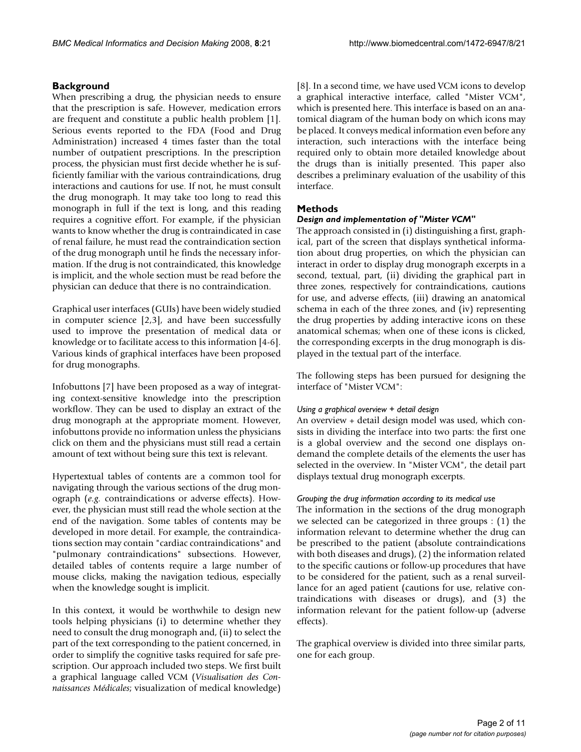## **Background**

When prescribing a drug, the physician needs to ensure that the prescription is safe. However, medication errors are frequent and constitute a public health problem [1]. Serious events reported to the FDA (Food and Drug Administration) increased 4 times faster than the total number of outpatient prescriptions. In the prescription process, the physician must first decide whether he is sufficiently familiar with the various contraindications, drug interactions and cautions for use. If not, he must consult the drug monograph. It may take too long to read this monograph in full if the text is long, and this reading requires a cognitive effort. For example, if the physician wants to know whether the drug is contraindicated in case of renal failure, he must read the contraindication section of the drug monograph until he finds the necessary information. If the drug is not contraindicated, this knowledge is implicit, and the whole section must be read before the physician can deduce that there is no contraindication.

Graphical user interfaces (GUIs) have been widely studied in computer science [2,3], and have been successfully used to improve the presentation of medical data or knowledge or to facilitate access to this information [4-6]. Various kinds of graphical interfaces have been proposed for drug monographs.

Infobuttons [7] have been proposed as a way of integrating context-sensitive knowledge into the prescription workflow. They can be used to display an extract of the drug monograph at the appropriate moment. However, infobuttons provide no information unless the physicians click on them and the physicians must still read a certain amount of text without being sure this text is relevant.

Hypertextual tables of contents are a common tool for navigating through the various sections of the drug monograph (*e.g.* contraindications or adverse effects). However, the physician must still read the whole section at the end of the navigation. Some tables of contents may be developed in more detail. For example, the contraindications section may contain "cardiac contraindications" and "pulmonary contraindications" subsections. However, detailed tables of contents require a large number of mouse clicks, making the navigation tedious, especially when the knowledge sought is implicit.

In this context, it would be worthwhile to design new tools helping physicians (i) to determine whether they need to consult the drug monograph and, (ii) to select the part of the text corresponding to the patient concerned, in order to simplify the cognitive tasks required for safe prescription. Our approach included two steps. We first built a graphical language called VCM (*Visualisation des Connaissances Médicales*; visualization of medical knowledge)

[8]. In a second time, we have used VCM icons to develop a graphical interactive interface, called "Mister VCM", which is presented here. This interface is based on an anatomical diagram of the human body on which icons may be placed. It conveys medical information even before any interaction, such interactions with the interface being required only to obtain more detailed knowledge about the drugs than is initially presented. This paper also describes a preliminary evaluation of the usability of this interface.

## **Methods**

#### *Design and implementation of "Mister VCM"*

The approach consisted in (i) distinguishing a first, graphical, part of the screen that displays synthetical information about drug properties, on which the physician can interact in order to display drug monograph excerpts in a second, textual, part, (ii) dividing the graphical part in three zones, respectively for contraindications, cautions for use, and adverse effects, (iii) drawing an anatomical schema in each of the three zones, and (iv) representing the drug properties by adding interactive icons on these anatomical schemas; when one of these icons is clicked, the corresponding excerpts in the drug monograph is displayed in the textual part of the interface.

The following steps has been pursued for designing the interface of "Mister VCM":

#### *Using a graphical overview + detail design*

An overview + detail design model was used, which consists in dividing the interface into two parts: the first one is a global overview and the second one displays ondemand the complete details of the elements the user has selected in the overview. In "Mister VCM", the detail part displays textual drug monograph excerpts.

#### *Grouping the drug information according to its medical use*

The information in the sections of the drug monograph we selected can be categorized in three groups : (1) the information relevant to determine whether the drug can be prescribed to the patient (absolute contraindications with both diseases and drugs), (2) the information related to the specific cautions or follow-up procedures that have to be considered for the patient, such as a renal surveillance for an aged patient (cautions for use, relative contraindications with diseases or drugs), and (3) the information relevant for the patient follow-up (adverse effects).

The graphical overview is divided into three similar parts, one for each group.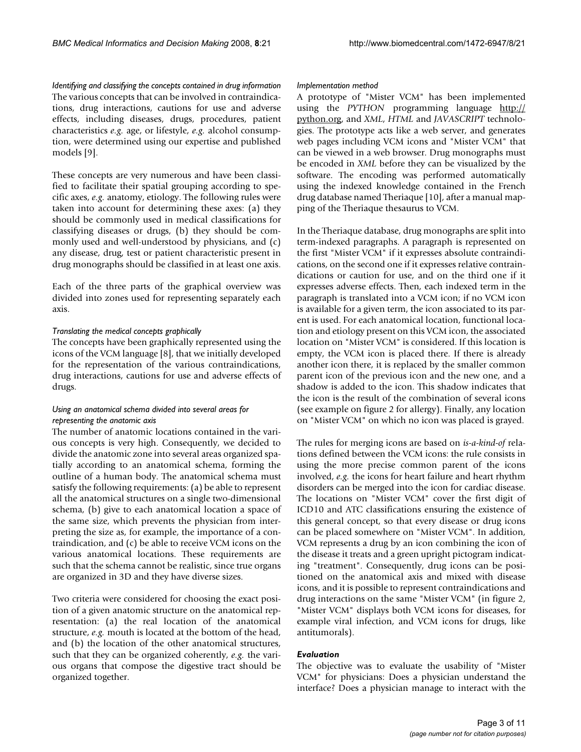*Identifying and classifying the concepts contained in drug information* The various concepts that can be involved in contraindications, drug interactions, cautions for use and adverse effects, including diseases, drugs, procedures, patient characteristics *e.g.* age, or lifestyle, *e.g.* alcohol consumption, were determined using our expertise and published models [9].

These concepts are very numerous and have been classified to facilitate their spatial grouping according to specific axes, *e.g.* anatomy, etiology. The following rules were taken into account for determining these axes: (a) they should be commonly used in medical classifications for classifying diseases or drugs, (b) they should be commonly used and well-understood by physicians, and (c) any disease, drug, test or patient characteristic present in drug monographs should be classified in at least one axis.

Each of the three parts of the graphical overview was divided into zones used for representing separately each axis.

#### *Translating the medical concepts graphically*

The concepts have been graphically represented using the icons of the VCM language [8], that we initially developed for the representation of the various contraindications, drug interactions, cautions for use and adverse effects of drugs.

#### *Using an anatomical schema divided into several areas for representing the anatomic axis*

The number of anatomic locations contained in the various concepts is very high. Consequently, we decided to divide the anatomic zone into several areas organized spatially according to an anatomical schema, forming the outline of a human body. The anatomical schema must satisfy the following requirements: (a) be able to represent all the anatomical structures on a single two-dimensional schema, (b) give to each anatomical location a space of the same size, which prevents the physician from interpreting the size as, for example, the importance of a contraindication, and (c) be able to receive VCM icons on the various anatomical locations. These requirements are such that the schema cannot be realistic, since true organs are organized in 3D and they have diverse sizes.

Two criteria were considered for choosing the exact position of a given anatomic structure on the anatomical representation: (a) the real location of the anatomical structure, *e.g.* mouth is located at the bottom of the head, and (b) the location of the other anatomical structures, such that they can be organized coherently, *e.g.* the various organs that compose the digestive tract should be organized together.

#### *Implementation method*

A prototype of "Mister VCM" has been implemented using the *PYTHON* programming language [http://](http://python.org) [python.org,](http://python.org) and *XML*, *HTML* and *JAVASCRIPT* technologies. The prototype acts like a web server, and generates web pages including VCM icons and "Mister VCM" that can be viewed in a web browser. Drug monographs must be encoded in *XML* before they can be visualized by the software. The encoding was performed automatically using the indexed knowledge contained in the French drug database named Theriaque [10], after a manual mapping of the Theriaque thesaurus to VCM.

In the Theriaque database, drug monographs are split into term-indexed paragraphs. A paragraph is represented on the first "Mister VCM" if it expresses absolute contraindications, on the second one if it expresses relative contraindications or caution for use, and on the third one if it expresses adverse effects. Then, each indexed term in the paragraph is translated into a VCM icon; if no VCM icon is available for a given term, the icon associated to its parent is used. For each anatomical location, functional location and etiology present on this VCM icon, the associated location on "Mister VCM" is considered. If this location is empty, the VCM icon is placed there. If there is already another icon there, it is replaced by the smaller common parent icon of the previous icon and the new one, and a shadow is added to the icon. This shadow indicates that the icon is the result of the combination of several icons (see example on figure 2 for allergy). Finally, any location on "Mister VCM" on which no icon was placed is grayed.

The rules for merging icons are based on *is-a-kind-of* relations defined between the VCM icons: the rule consists in using the more precise common parent of the icons involved, *e.g.* the icons for heart failure and heart rhythm disorders can be merged into the icon for cardiac disease. The locations on "Mister VCM" cover the first digit of ICD10 and ATC classifications ensuring the existence of this general concept, so that every disease or drug icons can be placed somewhere on "Mister VCM". In addition, VCM represents a drug by an icon combining the icon of the disease it treats and a green upright pictogram indicating "treatment". Consequently, drug icons can be positioned on the anatomical axis and mixed with disease icons, and it is possible to represent contraindications and drug interactions on the same "Mister VCM" (in figure 2, "Mister VCM" displays both VCM icons for diseases, for example viral infection, and VCM icons for drugs, like antitumorals).

#### *Evaluation*

The objective was to evaluate the usability of "Mister VCM" for physicians: Does a physician understand the interface? Does a physician manage to interact with the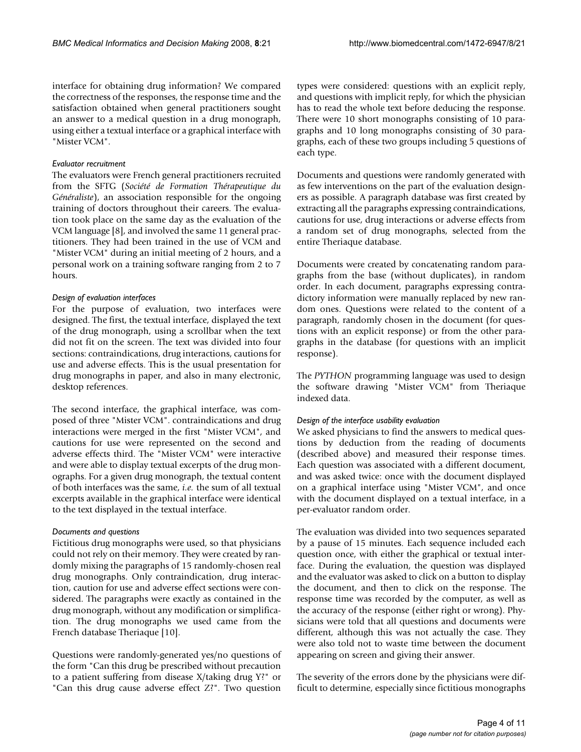interface for obtaining drug information? We compared the correctness of the responses, the response time and the satisfaction obtained when general practitioners sought an answer to a medical question in a drug monograph, using either a textual interface or a graphical interface with "Mister VCM".

#### *Evaluator recruitment*

The evaluators were French general practitioners recruited from the SFTG (*Société de Formation Thérapeutique du Généraliste*), an association responsible for the ongoing training of doctors throughout their careers. The evaluation took place on the same day as the evaluation of the VCM language [8], and involved the same 11 general practitioners. They had been trained in the use of VCM and "Mister VCM" during an initial meeting of 2 hours, and a personal work on a training software ranging from 2 to 7 hours.

#### *Design of evaluation interfaces*

For the purpose of evaluation, two interfaces were designed. The first, the textual interface, displayed the text of the drug monograph, using a scrollbar when the text did not fit on the screen. The text was divided into four sections: contraindications, drug interactions, cautions for use and adverse effects. This is the usual presentation for drug monographs in paper, and also in many electronic, desktop references.

The second interface, the graphical interface, was composed of three "Mister VCM". contraindications and drug interactions were merged in the first "Mister VCM", and cautions for use were represented on the second and adverse effects third. The "Mister VCM" were interactive and were able to display textual excerpts of the drug monographs. For a given drug monograph, the textual content of both interfaces was the same, *i.e.* the sum of all textual excerpts available in the graphical interface were identical to the text displayed in the textual interface.

#### *Documents and questions*

Fictitious drug monographs were used, so that physicians could not rely on their memory. They were created by randomly mixing the paragraphs of 15 randomly-chosen real drug monographs. Only contraindication, drug interaction, caution for use and adverse effect sections were considered. The paragraphs were exactly as contained in the drug monograph, without any modification or simplification. The drug monographs we used came from the French database Theriaque [10].

Questions were randomly-generated yes/no questions of the form "Can this drug be prescribed without precaution to a patient suffering from disease X/taking drug Y?" or "Can this drug cause adverse effect Z?". Two question types were considered: questions with an explicit reply, and questions with implicit reply, for which the physician has to read the whole text before deducing the response. There were 10 short monographs consisting of 10 paragraphs and 10 long monographs consisting of 30 paragraphs, each of these two groups including 5 questions of each type.

Documents and questions were randomly generated with as few interventions on the part of the evaluation designers as possible. A paragraph database was first created by extracting all the paragraphs expressing contraindications, cautions for use, drug interactions or adverse effects from a random set of drug monographs, selected from the entire Theriaque database.

Documents were created by concatenating random paragraphs from the base (without duplicates), in random order. In each document, paragraphs expressing contradictory information were manually replaced by new random ones. Questions were related to the content of a paragraph, randomly chosen in the document (for questions with an explicit response) or from the other paragraphs in the database (for questions with an implicit response).

The *PYTHON* programming language was used to design the software drawing "Mister VCM" from Theriaque indexed data.

#### *Design of the interface usability evaluation*

We asked physicians to find the answers to medical questions by deduction from the reading of documents (described above) and measured their response times. Each question was associated with a different document, and was asked twice: once with the document displayed on a graphical interface using "Mister VCM", and once with the document displayed on a textual interface, in a per-evaluator random order.

The evaluation was divided into two sequences separated by a pause of 15 minutes. Each sequence included each question once, with either the graphical or textual interface. During the evaluation, the question was displayed and the evaluator was asked to click on a button to display the document, and then to click on the response. The response time was recorded by the computer, as well as the accuracy of the response (either right or wrong). Physicians were told that all questions and documents were different, although this was not actually the case. They were also told not to waste time between the document appearing on screen and giving their answer.

The severity of the errors done by the physicians were difficult to determine, especially since fictitious monographs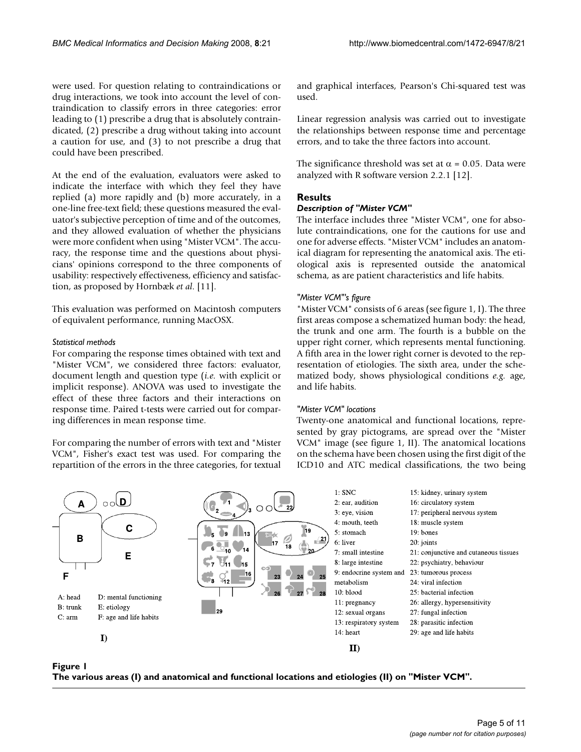were used. For question relating to contraindications or drug interactions, we took into account the level of contraindication to classify errors in three categories: error leading to (1) prescribe a drug that is absolutely contraindicated, (2) prescribe a drug without taking into account a caution for use, and (3) to not prescribe a drug that could have been prescribed.

At the end of the evaluation, evaluators were asked to indicate the interface with which they feel they have replied (a) more rapidly and (b) more accurately, in a one-line free-text field; these questions measured the evaluator's subjective perception of time and of the outcomes, and they allowed evaluation of whether the physicians were more confident when using "Mister VCM". The accuracy, the response time and the questions about physicians' opinions correspond to the three components of usability: respectively effectiveness, efficiency and satisfaction, as proposed by Hornbæk *et al*. [11].

This evaluation was performed on Macintosh computers of equivalent performance, running MacOSX.

#### *Statistical methods*

For comparing the response times obtained with text and "Mister VCM", we considered three factors: evaluator, document length and question type (*i.e.* with explicit or implicit response). ANOVA was used to investigate the effect of these three factors and their interactions on response time. Paired t-tests were carried out for comparing differences in mean response time.

For comparing the number of errors with text and "Mister VCM", Fisher's exact test was used. For comparing the repartition of the errors in the three categories, for textual and graphical interfaces, Pearson's Chi-squared test was used.

Linear regression analysis was carried out to investigate the relationships between response time and percentage errors, and to take the three factors into account.

The significance threshold was set at  $\alpha$  = 0.05. Data were analyzed with R software version 2.2.1 [12].

#### **Results**

#### *Description of "Mister VCM"*

The interface includes three "Mister VCM", one for absolute contraindications, one for the cautions for use and one for adverse effects. "Mister VCM" includes an anatomical diagram for representing the anatomical axis. The etiological axis is represented outside the anatomical schema, as are patient characteristics and life habits.

#### *"Mister VCM"'s figure*

"Mister VCM" consists of 6 areas (see figure 1, I). The three first areas compose a schematized human body: the head, the trunk and one arm. The fourth is a bubble on the upper right corner, which represents mental functioning. A fifth area in the lower right corner is devoted to the representation of etiologies. The sixth area, under the schematized body, shows physiological conditions *e.g.* age, and life habits.

#### *"Mister VCM" locations*

Twenty-one anatomical and functional locations, represented by gray pictograms, are spread over the "Mister VCM" image (see figure 1, II). The anatomical locations on the schema have been chosen using the first digit of the ICD10 and ATC medical classifications, the two being



The various areas (I) and anatomical and functional **Figure 1** locations and etiologies (II) on "Mister VCM" **The various areas (I) and anatomical and functional locations and etiologies (II) on "Mister VCM".**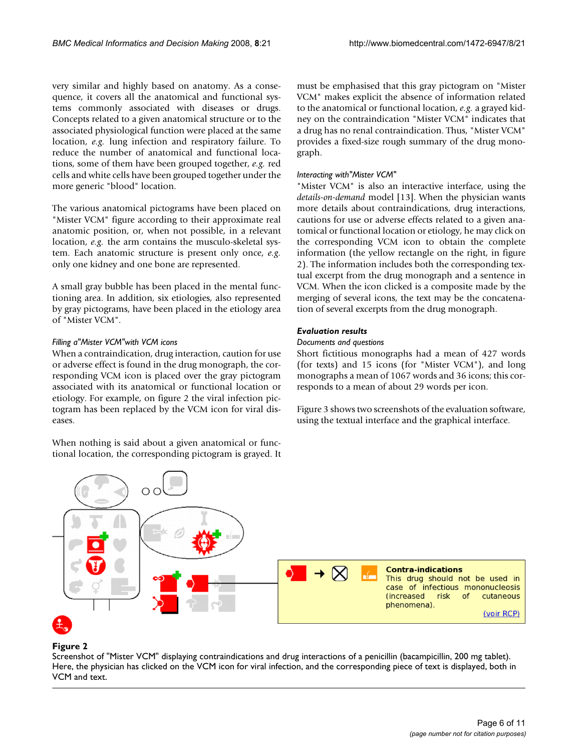very similar and highly based on anatomy. As a consequence, it covers all the anatomical and functional systems commonly associated with diseases or drugs. Concepts related to a given anatomical structure or to the associated physiological function were placed at the same location, *e.g.* lung infection and respiratory failure. To reduce the number of anatomical and functional locations, some of them have been grouped together, *e.g.* red cells and white cells have been grouped together under the more generic "blood" location.

The various anatomical pictograms have been placed on "Mister VCM" figure according to their approximate real anatomic position, or, when not possible, in a relevant location, *e.g.* the arm contains the musculo-skeletal system. Each anatomic structure is present only once, *e.g.* only one kidney and one bone are represented.

A small gray bubble has been placed in the mental functioning area. In addition, six etiologies, also represented by gray pictograms, have been placed in the etiology area of "Mister VCM".

#### *Filling a"Mister VCM"with VCM icons*

When a contraindication, drug interaction, caution for use or adverse effect is found in the drug monograph, the corresponding VCM icon is placed over the gray pictogram associated with its anatomical or functional location or etiology. For example, on figure 2 the viral infection pictogram has been replaced by the VCM icon for viral diseases.

When nothing is said about a given anatomical or functional location, the corresponding pictogram is grayed. It must be emphasised that this gray pictogram on "Mister VCM" makes explicit the absence of information related to the anatomical or functional location, *e.g.* a grayed kidney on the contraindication "Mister VCM" indicates that a drug has no renal contraindication. Thus, "Mister VCM" provides a fixed-size rough summary of the drug monograph.

#### *Interacting with"Mister VCM"*

"Mister VCM" is also an interactive interface, using the *details-on-demand* model [13]. When the physician wants more details about contraindications, drug interactions, cautions for use or adverse effects related to a given anatomical or functional location or etiology, he may click on the corresponding VCM icon to obtain the complete information (the yellow rectangle on the right, in figure 2). The information includes both the corresponding textual excerpt from the drug monograph and a sentence in VCM. When the icon clicked is a composite made by the merging of several icons, the text may be the concatenation of several excerpts from the drug monograph.

#### *Evaluation results*

#### *Documents and questions*

Short fictitious monographs had a mean of 427 words (for texts) and 15 icons (for "Mister VCM"), and long monographs a mean of 1067 words and 36 icons; this corresponds to a mean of about 29 words per icon.

Figure 3 shows two screenshots of the evaluation software, using the textual interface and the graphical interface.



#### ${\sf Figure~2}$  ntraindications and drug interactions and drug interactions and drug interactions of a penicillin (bacampicilling, 200 mg tablet) and drug interactions of a penicillin (bacampicillin, 200 mg tablet) and drug inter

Screenshot of "Mister VCM" displaying contraindications and drug interactions of a penicillin (bacampicillin, 200 mg tablet). Here, the physician has clicked on the VCM icon for viral infection, and the corresponding piece of text is displayed, both in VCM and text.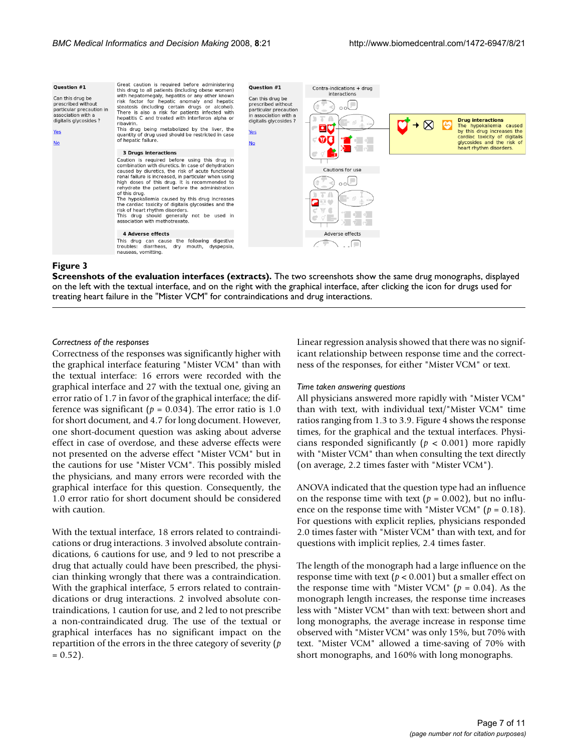

#### **Figure 3**

**Screenshots of the evaluation interfaces (extracts).** The two screenshots show the same drug monographs, displayed on the left with the textual interface, and on the right with the graphical interface, after clicking the icon for drugs used for treating heart failure in the "Mister VCM" for contraindications and drug interactions.

#### *Correctness of the responses*

Correctness of the responses was significantly higher with the graphical interface featuring "Mister VCM" than with the textual interface: 16 errors were recorded with the graphical interface and 27 with the textual one, giving an error ratio of 1.7 in favor of the graphical interface; the difference was significant ( $p = 0.034$ ). The error ratio is 1.0 for short document, and 4.7 for long document. However, one short-document question was asking about adverse effect in case of overdose, and these adverse effects were not presented on the adverse effect "Mister VCM" but in the cautions for use "Mister VCM". This possibly misled the physicians, and many errors were recorded with the graphical interface for this question. Consequently, the 1.0 error ratio for short document should be considered with caution.

With the textual interface, 18 errors related to contraindications or drug interactions. 3 involved absolute contraindications, 6 cautions for use, and 9 led to not prescribe a drug that actually could have been prescribed, the physician thinking wrongly that there was a contraindication. With the graphical interface, 5 errors related to contraindications or drug interactions. 2 involved absolute contraindications, 1 caution for use, and 2 led to not prescribe a non-contraindicated drug. The use of the textual or graphical interfaces has no significant impact on the repartition of the errors in the three category of severity (*p*  $= 0.52$ ).

Linear regression analysis showed that there was no significant relationship between response time and the correctness of the responses, for either "Mister VCM" or text.

#### *Time taken answering questions*

All physicians answered more rapidly with "Mister VCM" than with text, with individual text/"Mister VCM" time ratios ranging from 1.3 to 3.9. Figure 4 shows the response times, for the graphical and the textual interfaces. Physicians responded significantly (*p* < 0.001) more rapidly with "Mister VCM" than when consulting the text directly (on average, 2.2 times faster with "Mister VCM").

ANOVA indicated that the question type had an influence on the response time with text ( $p = 0.002$ ), but no influence on the response time with "Mister VCM" ( $p = 0.18$ ). For questions with explicit replies, physicians responded 2.0 times faster with "Mister VCM" than with text, and for questions with implicit replies, 2.4 times faster.

The length of the monograph had a large influence on the response time with text  $(p < 0.001)$  but a smaller effect on the response time with "Mister VCM" ( $p = 0.04$ ). As the monograph length increases, the response time increases less with "Mister VCM" than with text: between short and long monographs, the average increase in response time observed with "Mister VCM" was only 15%, but 70% with text. "Mister VCM" allowed a time-saving of 70% with short monographs, and 160% with long monographs.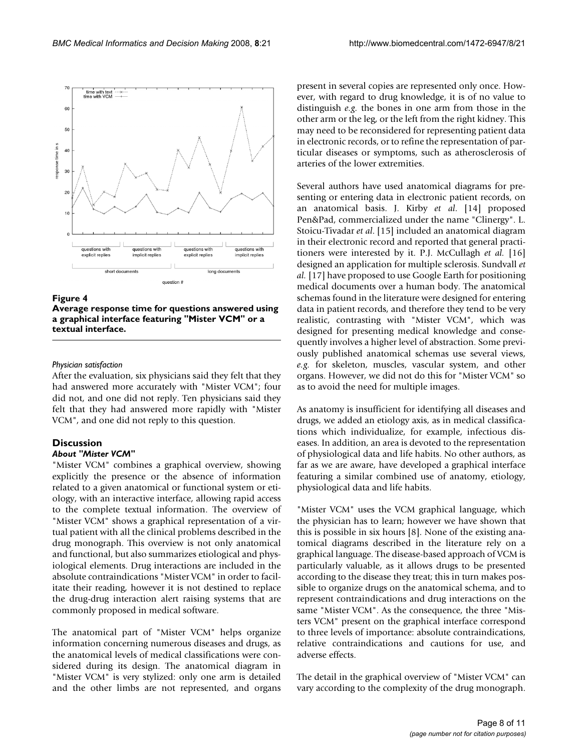

#### Figure 4

**Average response time for questions answered using a graphical interface featuring "Mister VCM" or a textual interface.**

#### *Physician satisfaction*

After the evaluation, six physicians said they felt that they had answered more accurately with "Mister VCM"; four did not, and one did not reply. Ten physicians said they felt that they had answered more rapidly with "Mister VCM", and one did not reply to this question.

#### **Discussion** *About "Mister VCM"*

"Mister VCM" combines a graphical overview, showing explicitly the presence or the absence of information related to a given anatomical or functional system or etiology, with an interactive interface, allowing rapid access to the complete textual information. The overview of "Mister VCM" shows a graphical representation of a virtual patient with all the clinical problems described in the drug monograph. This overview is not only anatomical and functional, but also summarizes etiological and physiological elements. Drug interactions are included in the absolute contraindications "Mister VCM" in order to facilitate their reading, however it is not destined to replace the drug-drug interaction alert raising systems that are commonly proposed in medical software.

The anatomical part of "Mister VCM" helps organize information concerning numerous diseases and drugs, as the anatomical levels of medical classifications were considered during its design. The anatomical diagram in "Mister VCM" is very stylized: only one arm is detailed and the other limbs are not represented, and organs

present in several copies are represented only once. However, with regard to drug knowledge, it is of no value to distinguish *e.g.* the bones in one arm from those in the other arm or the leg, or the left from the right kidney. This may need to be reconsidered for representing patient data in electronic records, or to refine the representation of particular diseases or symptoms, such as atherosclerosis of arteries of the lower extremities.

Several authors have used anatomical diagrams for presenting or entering data in electronic patient records, on an anatomical basis. J. Kirby *et al*. [14] proposed Pen&Pad, commercialized under the name "Clinergy". L. Stoicu-Tivadar *et al*. [15] included an anatomical diagram in their electronic record and reported that general practitioners were interested by it. P.J. McCullagh *et al.* [16] designed an application for multiple sclerosis. Sundvall *et al.* [17] have proposed to use Google Earth for positioning medical documents over a human body. The anatomical schemas found in the literature were designed for entering data in patient records, and therefore they tend to be very realistic, contrasting with "Mister VCM", which was designed for presenting medical knowledge and consequently involves a higher level of abstraction. Some previously published anatomical schemas use several views, *e.g.* for skeleton, muscles, vascular system, and other organs. However, we did not do this for "Mister VCM" so as to avoid the need for multiple images.

As anatomy is insufficient for identifying all diseases and drugs, we added an etiology axis, as in medical classifications which individualize, for example, infectious diseases. In addition, an area is devoted to the representation of physiological data and life habits. No other authors, as far as we are aware, have developed a graphical interface featuring a similar combined use of anatomy, etiology, physiological data and life habits.

"Mister VCM" uses the VCM graphical language, which the physician has to learn; however we have shown that this is possible in six hours [8]. None of the existing anatomical diagrams described in the literature rely on a graphical language. The disease-based approach of VCM is particularly valuable, as it allows drugs to be presented according to the disease they treat; this in turn makes possible to organize drugs on the anatomical schema, and to represent contraindications and drug interactions on the same "Mister VCM". As the consequence, the three "Misters VCM" present on the graphical interface correspond to three levels of importance: absolute contraindications, relative contraindications and cautions for use, and adverse effects.

The detail in the graphical overview of "Mister VCM" can vary according to the complexity of the drug monograph.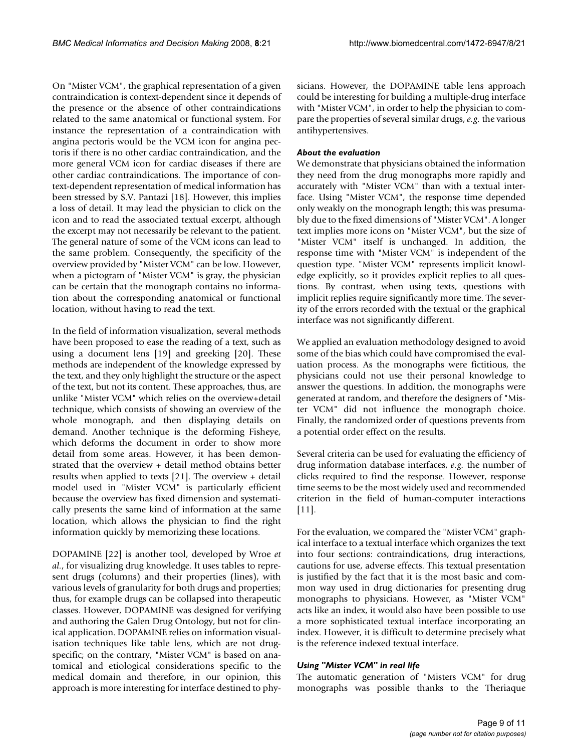On "Mister VCM", the graphical representation of a given contraindication is context-dependent since it depends of the presence or the absence of other contraindications related to the same anatomical or functional system. For instance the representation of a contraindication with angina pectoris would be the VCM icon for angina pectoris if there is no other cardiac contraindication, and the more general VCM icon for cardiac diseases if there are other cardiac contraindications. The importance of context-dependent representation of medical information has been stressed by S.V. Pantazi [18]. However, this implies a loss of detail. It may lead the physician to click on the icon and to read the associated textual excerpt, although the excerpt may not necessarily be relevant to the patient. The general nature of some of the VCM icons can lead to the same problem. Consequently, the specificity of the overview provided by "Mister VCM" can be low. However, when a pictogram of "Mister VCM" is gray, the physician can be certain that the monograph contains no information about the corresponding anatomical or functional location, without having to read the text.

In the field of information visualization, several methods have been proposed to ease the reading of a text, such as using a document lens [19] and greeking [20]. These methods are independent of the knowledge expressed by the text, and they only highlight the structure or the aspect of the text, but not its content. These approaches, thus, are unlike "Mister VCM" which relies on the overview+detail technique, which consists of showing an overview of the whole monograph, and then displaying details on demand. Another technique is the deforming Fisheye, which deforms the document in order to show more detail from some areas. However, it has been demonstrated that the overview + detail method obtains better results when applied to texts [21]. The overview + detail model used in "Mister VCM" is particularly efficient because the overview has fixed dimension and systematically presents the same kind of information at the same location, which allows the physician to find the right information quickly by memorizing these locations.

DOPAMINE [22] is another tool, developed by Wroe *et al.*, for visualizing drug knowledge. It uses tables to represent drugs (columns) and their properties (lines), with various levels of granularity for both drugs and properties; thus, for example drugs can be collapsed into therapeutic classes. However, DOPAMINE was designed for verifying and authoring the Galen Drug Ontology, but not for clinical application. DOPAMINE relies on information visualisation techniques like table lens, which are not drugspecific; on the contrary, "Mister VCM" is based on anatomical and etiological considerations specific to the medical domain and therefore, in our opinion, this approach is more interesting for interface destined to physicians. However, the DOPAMINE table lens approach could be interesting for building a multiple-drug interface with "Mister VCM", in order to help the physician to compare the properties of several similar drugs, *e.g.* the various antihypertensives.

## *About the evaluation*

We demonstrate that physicians obtained the information they need from the drug monographs more rapidly and accurately with "Mister VCM" than with a textual interface. Using "Mister VCM", the response time depended only weakly on the monograph length; this was presumably due to the fixed dimensions of "Mister VCM". A longer text implies more icons on "Mister VCM", but the size of "Mister VCM" itself is unchanged. In addition, the response time with "Mister VCM" is independent of the question type. "Mister VCM" represents implicit knowledge explicitly, so it provides explicit replies to all questions. By contrast, when using texts, questions with implicit replies require significantly more time. The severity of the errors recorded with the textual or the graphical interface was not significantly different.

We applied an evaluation methodology designed to avoid some of the bias which could have compromised the evaluation process. As the monographs were fictitious, the physicians could not use their personal knowledge to answer the questions. In addition, the monographs were generated at random, and therefore the designers of "Mister VCM" did not influence the monograph choice. Finally, the randomized order of questions prevents from a potential order effect on the results.

Several criteria can be used for evaluating the efficiency of drug information database interfaces, *e.g.* the number of clicks required to find the response. However, response time seems to be the most widely used and recommended criterion in the field of human-computer interactions [11].

For the evaluation, we compared the "Mister VCM" graphical interface to a textual interface which organizes the text into four sections: contraindications, drug interactions, cautions for use, adverse effects. This textual presentation is justified by the fact that it is the most basic and common way used in drug dictionaries for presenting drug monographs to physicians. However, as "Mister VCM" acts like an index, it would also have been possible to use a more sophisticated textual interface incorporating an index. However, it is difficult to determine precisely what is the reference indexed textual interface.

## *Using "Mister VCM" in real life*

The automatic generation of "Misters VCM" for drug monographs was possible thanks to the Theriaque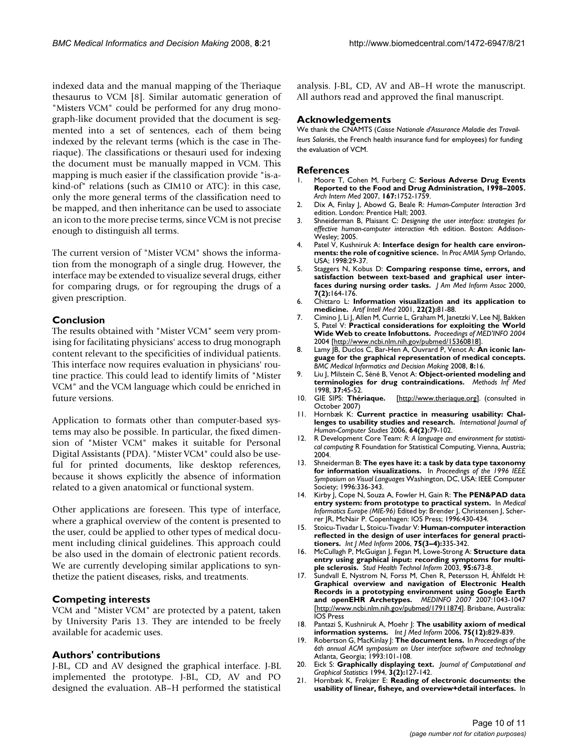indexed data and the manual mapping of the Theriaque thesaurus to VCM [8]. Similar automatic generation of "Misters VCM" could be performed for any drug monograph-like document provided that the document is segmented into a set of sentences, each of them being indexed by the relevant terms (which is the case in Theriaque). The classifications or thesauri used for indexing the document must be manually mapped in VCM. This mapping is much easier if the classification provide "is-akind-of" relations (such as CIM10 or ATC): in this case, only the more general terms of the classification need to be mapped, and then inheritance can be used to associate an icon to the more precise terms, since VCM is not precise enough to distinguish all terms.

The current version of "Mister VCM" shows the information from the monograph of a single drug. However, the interface may be extended to visualize several drugs, either for comparing drugs, or for regrouping the drugs of a given prescription.

#### **Conclusion**

The results obtained with "Mister VCM" seem very promising for facilitating physicians' access to drug monograph content relevant to the specificities of individual patients. This interface now requires evaluation in physicians' routine practice. This could lead to identify limits of "Mister VCM" and the VCM language which could be enriched in future versions.

Application to formats other than computer-based systems may also be possible. In particular, the fixed dimension of "Mister VCM" makes it suitable for Personal Digital Assistants (PDA). "Mister VCM" could also be useful for printed documents, like desktop references, because it shows explicitly the absence of information related to a given anatomical or functional system.

Other applications are foreseen. This type of interface, where a graphical overview of the content is presented to the user, could be applied to other types of medical document including clinical guidelines. This approach could be also used in the domain of electronic patient records. We are currently developing similar applications to synthetize the patient diseases, risks, and treatments.

#### **Competing interests**

VCM and "Mister VCM" are protected by a patent, taken by University Paris 13. They are intended to be freely available for academic uses.

#### **Authors' contributions**

J-BL, CD and AV designed the graphical interface. J-BL implemented the prototype. J-BL, CD, AV and PO designed the evaluation. AB–H performed the statistical analysis. J-BL, CD, AV and AB–H wrote the manuscript. All authors read and approved the final manuscript.

#### **Acknowledgements**

We thank the CNAMTS (*Caisse Nationale d'Assurance Maladie des Travailleurs Salariés*, the French health insurance fund for employees) for funding the evaluation of VCM.

#### **References**

- 1. Moore T, Cohen M, Furberg C: **[Serious Adverse Drug Events](http://www.ncbi.nlm.nih.gov/entrez/query.fcgi?cmd=Retrieve&db=PubMed&dopt=Abstract&list_uids=17846394) [Reported to the Food and Drug Administration, 1998–2005.](http://www.ncbi.nlm.nih.gov/entrez/query.fcgi?cmd=Retrieve&db=PubMed&dopt=Abstract&list_uids=17846394)** *Arch Intern Med* 2007, **167:**1752-1759.
- 2. Dix A, Finlay J, Abowd G, Beale R: *Human-Computer Interaction* 3rd edition. London: Prentice Hall; 2003.
- 3. Shneiderman B, Plaisant C: *Designing the user interface: strategies for effective human-computer interaction* 4th edition. Boston: Addison-Wesley; 2005.
- 4. Patel V, Kushniruk A: **[Interface design for health care environ](http://www.ncbi.nlm.nih.gov/entrez/query.fcgi?cmd=Retrieve&db=PubMed&dopt=Abstract&list_uids=9929179)[ments: the role of cognitive science.](http://www.ncbi.nlm.nih.gov/entrez/query.fcgi?cmd=Retrieve&db=PubMed&dopt=Abstract&list_uids=9929179)** In *Proc AMIA Symp* Orlando, USA; 1998:29-37.
- 5. Staggers N, Kobus D: **[Comparing response time, errors, and](http://www.ncbi.nlm.nih.gov/entrez/query.fcgi?cmd=Retrieve&db=PubMed&dopt=Abstract&list_uids=10730600) [satisfaction between text-based and graphical user inter](http://www.ncbi.nlm.nih.gov/entrez/query.fcgi?cmd=Retrieve&db=PubMed&dopt=Abstract&list_uids=10730600)[faces during nursing order tasks.](http://www.ncbi.nlm.nih.gov/entrez/query.fcgi?cmd=Retrieve&db=PubMed&dopt=Abstract&list_uids=10730600)** *J Am Med Inform Assoc* 2000, **7(2):**164-176.
- 6. Chittaro L: **[Information visualization and its application to](http://www.ncbi.nlm.nih.gov/entrez/query.fcgi?cmd=Retrieve&db=PubMed&dopt=Abstract&list_uids=11348841) [medicine.](http://www.ncbi.nlm.nih.gov/entrez/query.fcgi?cmd=Retrieve&db=PubMed&dopt=Abstract&list_uids=11348841)** *Artif Intell Med* 2001, **22(2):**81-88.
- 7. Cimino J, Li J, Allen M, Currie L, Graham M, Janetzki V, Lee NJ, Bakken S, Patel V: **Practical considerations for exploiting the World Wide Web to create Infobuttons.** *Proceedings of MED'INFO 2004* 2004 [[http://www.ncbi.nlm.nih.gov/pubmed/15360818\]](http://www.ncbi.nlm.nih.gov/pubmed/15360818).
- 8. Lamy JB, Duclos C, Bar-Hen A, Ouvrard P, Venot A: **[An iconic lan](http://www.ncbi.nlm.nih.gov/entrez/query.fcgi?cmd=Retrieve&db=PubMed&dopt=Abstract&list_uids=18435838)[guage for the graphical representation of medical concepts.](http://www.ncbi.nlm.nih.gov/entrez/query.fcgi?cmd=Retrieve&db=PubMed&dopt=Abstract&list_uids=18435838)** *BMC Medical Informatics and Decision Making* 2008, **8:**16.
- 9. Liu J, Milstein C, Séné B, Venot A: **[Object-oriented modeling and](http://www.ncbi.nlm.nih.gov/entrez/query.fcgi?cmd=Retrieve&db=PubMed&dopt=Abstract&list_uids=9550846) [terminologies for drug contraindications.](http://www.ncbi.nlm.nih.gov/entrez/query.fcgi?cmd=Retrieve&db=PubMed&dopt=Abstract&list_uids=9550846)** *Methods Inf Med* 1998, **37:**45-52.
- 10. GIE SIPS: **Thériaque.** [\[http://www.theriaque.org](http://www.theriaque.org)]. (consulted in October 2007)
- 11. Hornbæk K: **Current practice in measuring usability: Challenges to usability studies and research.** *International Journal of Human-Computer Studies* 2006, **64(2):**79-102.
- 12. R Development Core Team: *R: A language and environment for statistical computing* R Foundation for Statistical Computing, Vienna, Austria; 2004.
- 13. Shneiderman B: **The eyes have it: a task by data type taxonomy for information visualizations.** In *Proceedings of the 1996 IEEE Symposium on Visual Languages* Washington, DC, USA: IEEE Computer Society; 1996:336-343.
- 14. Kirby J, Cope N, Souza A, Fowler H, Gain R: **The PEN&PAD data entry system: from prototype to practical system.** In *Medical Informatics Europe (MIE-96)* Edited by: Brender J, Christensen J, Scherrer JR, McNair P. Copenhagen: IOS Press; 1996:430-434.
- 15. Stoicu-Tivadar L, Stoicu-Tivadar V: **[Human-computer interaction](http://www.ncbi.nlm.nih.gov/entrez/query.fcgi?cmd=Retrieve&db=PubMed&dopt=Abstract&list_uids=16188492) [reflected in the design of user interfaces for general practi](http://www.ncbi.nlm.nih.gov/entrez/query.fcgi?cmd=Retrieve&db=PubMed&dopt=Abstract&list_uids=16188492)[tioners.](http://www.ncbi.nlm.nih.gov/entrez/query.fcgi?cmd=Retrieve&db=PubMed&dopt=Abstract&list_uids=16188492)** *Int J Med Inform* 2006, **75(3–4):**335-342.
- 16. McCullagh P, McGuigan J, Fegan M, Lowe-Strong A: **[Structure data](http://www.ncbi.nlm.nih.gov/entrez/query.fcgi?cmd=Retrieve&db=PubMed&dopt=Abstract&list_uids=14664065) [entry using graphical input: recording symptoms for multi](http://www.ncbi.nlm.nih.gov/entrez/query.fcgi?cmd=Retrieve&db=PubMed&dopt=Abstract&list_uids=14664065)[ple sclerosis.](http://www.ncbi.nlm.nih.gov/entrez/query.fcgi?cmd=Retrieve&db=PubMed&dopt=Abstract&list_uids=14664065)** *Stud Health Technol Inform* 2003, **95:**673-8.
- 17. Sundvall E, Nystrom N, Forss M, Chen R, Petersson H, Åhlfeldt H: **Graphical overview and navigation of Electronic Health Records in a prototyping environment using Google Earth and openEHR Archetypes.** *MEDINFO 2007* 2007:1043-1047 [<http://www.ncbi.nlm.nih.gov/pubmed/17911874>]. Brisbane, Australia: IOS Press
- 18. Pantazi S, Kushniruk A, Moehr J: [The usability axiom of medical](http://www.ncbi.nlm.nih.gov/entrez/query.fcgi?cmd=Retrieve&db=PubMed&dopt=Abstract&list_uids=16870500) **[information systems.](http://www.ncbi.nlm.nih.gov/entrez/query.fcgi?cmd=Retrieve&db=PubMed&dopt=Abstract&list_uids=16870500)** *Int J Med Inform* 2006, **75(12):**829-839.
- 19. Robertson G, MacKinlay J: **The document lens.** In *Proceedings of the 6th annual ACM symposium on User interface software and technology* Atlanta, Georgia; 1993:101-108.
- 20. Eick S: **Graphically displaying text.** *Journal of Computational and Graphical Statistics* 1994, **3(2):**127-142.
- 21. Hornbæk K, Frøkjær E: **Reading of electronic documents: the usability of linear, fisheye, and overview+detail interfaces.** In